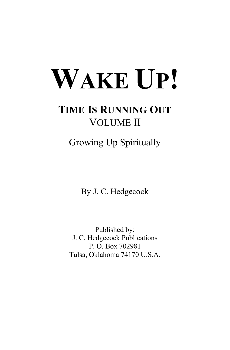# **WAKE UP!**

# **TIME IS RUNNING OUT** VOLUME II

Growing Up Spiritually

By J. C. Hedgecock

Published by: J. C. Hedgecock Publications P. O. Box 702981 Tulsa, Oklahoma 74170 U.S.A.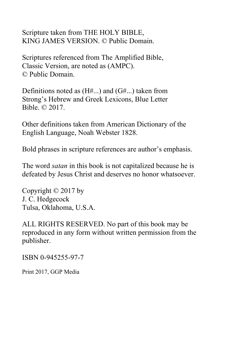Scripture taken from THE HOLY BIBLE, KING JAMES VERSION. © Public Domain.

Scriptures referenced from The Amplified Bible, Classic Version, are noted as (AMPC). © Public Domain.

Definitions noted as (H#...) and (G#...) taken from Strong's Hebrew and Greek Lexicons, Blue Letter Bible. © 2017.

Other definitions taken from American Dictionary of the English Language, Noah Webster 1828.

Bold phrases in scripture references are author's emphasis.

The word *satan* in this book is not capitalized because he is defeated by Jesus Christ and deserves no honor whatsoever.

Copyright © 2017 by J. C. Hedgecock Tulsa, Oklahoma, U.S.A.

ALL RIGHTS RESERVED. No part of this book may be reproduced in any form without written permission from the publisher.

ISBN 0-945255-97-7

Print 2017, GGP Media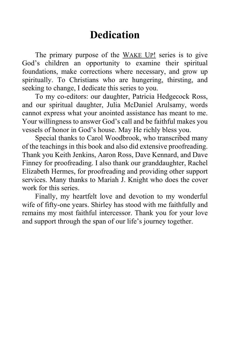# **Dedication**

The primary purpose of the WAKE UP! series is to give God's children an opportunity to examine their spiritual foundations, make corrections where necessary, and grow up spiritually. To Christians who are hungering, thirsting, and seeking to change, I dedicate this series to you.

To my co-editors: our daughter, Patricia Hedgecock Ross, and our spiritual daughter, Julia McDaniel Arulsamy, words cannot express what your anointed assistance has meant to me. Your willingness to answer God's call and be faithful makes you vessels of honor in God's house. May He richly bless you.

Special thanks to Carol Woodbrook, who transcribed many of the teachings in this book and also did extensive proofreading. Thank you Keith Jenkins, Aaron Ross, Dave Kennard, and Dave Finney for proofreading. I also thank our granddaughter, Rachel Elizabeth Hermes, for proofreading and providing other support services. Many thanks to Mariah J. Knight who does the cover work for this series.

Finally, my heartfelt love and devotion to my wonderful wife of fifty-one years. Shirley has stood with me faithfully and remains my most faithful intercessor. Thank you for your love and support through the span of our life's journey together.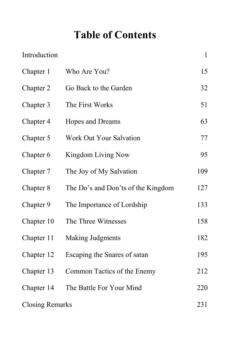# **Table of Contents**

| Introduction           |                                    | $\mathbf{1}$ |
|------------------------|------------------------------------|--------------|
| Chapter 1              | Who Are You?                       | 15           |
| Chapter 2              | Go Back to the Garden              | 32           |
| Chapter 3              | The First Works                    | 51           |
| Chapter 4              | Hopes and Dreams                   | 63           |
| Chapter 5              | Work Out Your Salvation            | 77           |
| Chapter 6              | Kingdom Living Now                 | 95           |
| Chapter 7              | The Joy of My Salvation            | 109          |
| Chapter 8              | The Do's and Don'ts of the Kingdom | 127          |
| Chapter 9              | The Importance of Lordship         | 133          |
| Chapter 10             | The Three Witnesses                | 158          |
| Chapter 11             | <b>Making Judgments</b>            | 182          |
| Chapter 12             | Escaping the Snares of satan       | 195          |
| Chapter 13             | Common Tactics of the Enemy        | 212          |
| Chapter 14             | The Battle For Your Mind           | 220          |
| <b>Closing Remarks</b> |                                    | 231          |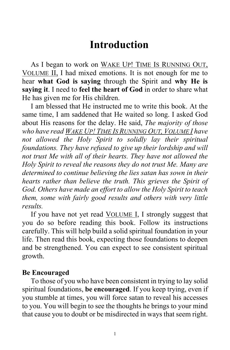# **Introduction**

As I began to work on WAKE UP! TIME IS RUNNING OUT, VOLUME II, I had mixed emotions. It is not enough for me to hear **what God is saying** through the Spirit and **why He is saying it**. I need to **feel the heart of God** in order to share what He has given me for His children.

I am blessed that He instructed me to write this book. At the same time, I am saddened that He waited so long. I asked God about His reasons for the delay. He said, *The majority of those who have read WAKE UP! TIME IS RUNNING OUT, VOLUME I have not allowed the Holy Spirit to solidly lay their spiritual foundations. They have refused to give up their lordship and will not trust Me with all of their hearts. They have not allowed the Holy Spirit to reveal the reasons they do not trust Me. Many are determined to continue believing the lies satan has sown in their hearts rather than believe the truth. This grieves the Spirit of God. Others have made an effort to allow the Holy Spirit to teach them, some with fairly good results and others with very little results.* 

If you have not yet read VOLUME I, I strongly suggest that you do so before reading this book. Follow its instructions carefully. This will help build a solid spiritual foundation in your life. Then read this book, expecting those foundations to deepen and be strengthened. You can expect to see consistent spiritual growth.

## **Be Encouraged**

To those of you who have been consistent in trying to lay solid spiritual foundations, **be encouraged**. If you keep trying, even if you stumble at times, you will force satan to reveal his accesses to you. You will begin to see the thoughts he brings to your mind that cause you to doubt or be misdirected in ways that seem right.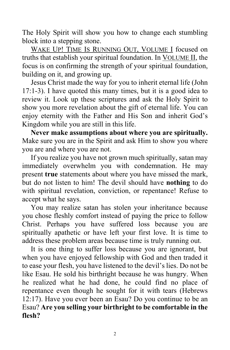The Holy Spirit will show you how to change each stumbling block into a stepping stone.

WAKE UP! TIME IS RUNNING OUT, VOLUME I focused on truths that establish your spiritual foundation. In VOLUME II, the focus is on confirming the strength of your spiritual foundation, building on it, and growing up.

Jesus Christ made the way for you to inherit eternal life (John 17:1-3). I have quoted this many times, but it is a good idea to review it. Look up these scriptures and ask the Holy Spirit to show you more revelation about the gift of eternal life. You can enjoy eternity with the Father and His Son and inherit God's Kingdom while you are still in this life.

**Never make assumptions about where you are spiritually.** Make sure you are in the Spirit and ask Him to show you where you are and where you are not.

If you realize you have not grown much spiritually, satan may immediately overwhelm you with condemnation. He may present **true** statements about where you have missed the mark, but do not listen to him! The devil should have **nothing** to do with spiritual revelation, conviction, or repentance! Refuse to accept what he says.

You may realize satan has stolen your inheritance because you chose fleshly comfort instead of paying the price to follow Christ. Perhaps you have suffered loss because you are spiritually apathetic or have left your first love. It is time to address these problem areas because time is truly running out.

It is one thing to suffer loss because you are ignorant, but when you have enjoyed fellowship with God and then traded it to ease your flesh, you have listened to the devil's lies. Do not be like Esau. He sold his birthright because he was hungry. When he realized what he had done, he could find no place of repentance even though he sought for it with tears (Hebrews 12:17). Have you ever been an Esau? Do you continue to be an Esau? **Are you selling your birthright to be comfortable in the flesh?**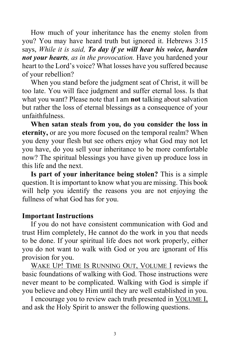How much of your inheritance has the enemy stolen from you? You may have heard truth but ignored it. Hebrews 3:15 says, *While it is said, To day if ye will hear his voice, harden not your hearts, as in the provocation.* Have you hardened your heart to the Lord's voice? What losses have you suffered because of your rebellion?

When you stand before the judgment seat of Christ, it will be too late. You will face judgment and suffer eternal loss. Is that what you want? Please note that I am **not** talking about salvation but rather the loss of eternal blessings as a consequence of your unfaithfulness.

**When satan steals from you, do you consider the loss in eternity,** or are you more focused on the temporal realm? When you deny your flesh but see others enjoy what God may not let you have, do you sell your inheritance to be more comfortable now? The spiritual blessings you have given up produce loss in this life and the next.

**Is part of your inheritance being stolen?** This is a simple question. It is important to know what you are missing. This book will help you identify the reasons you are not enjoying the fullness of what God has for you.

## **Important Instructions**

If you do not have consistent communication with God and trust Him completely, He cannot do the work in you that needs to be done. If your spiritual life does not work properly, either you do not want to walk with God or you are ignorant of His provision for you.

WAKE UP! TIME IS RUNNING OUT, VOLUME I reviews the basic foundations of walking with God. Those instructions were never meant to be complicated. Walking with God is simple if you believe and obey Him until they are well established in you.

I encourage you to review each truth presented in VOLUME I, and ask the Holy Spirit to answer the following questions.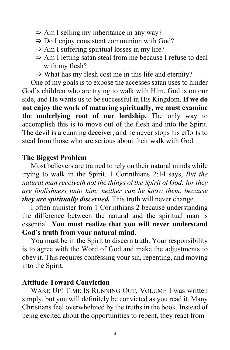- $\Rightarrow$  Am I selling my inheritance in any way?
- $\Rightarrow$  Do I enjoy consistent communion with God?
- $\Rightarrow$  Am I suffering spiritual losses in my life?
- Am I letting satan steal from me because I refuse to deal with my flesh?
- $\Rightarrow$  What has my flesh cost me in this life and eternity?

One of my goals is to expose the accesses satan uses to hinder God's children who are trying to walk with Him. God is on our side, and He wants us to be successful in His Kingdom. **If we do not enjoy the work of maturing spiritually, we must examine the underlying root of our lordship.** The only way to accomplish this is to move out of the flesh and into the Spirit. The devil is a cunning deceiver, and he never stops his efforts to steal from those who are serious about their walk with God.

## **The Biggest Problem**

Most believers are trained to rely on their natural minds while trying to walk in the Spirit. 1 Corinthians 2:14 says, *But the natural man receiveth not the things of the Spirit of God: for they are foolishness unto him: neither can he know them, because they are spiritually discerned.* This truth will never change.

I often minister from 1 Corinthians 2 because understanding the difference between the natural and the spiritual man is essential. **You must realize that you will never understand God's truth from your natural mind.**

You must be in the Spirit to discern truth. Your responsibility is to agree with the Word of God and make the adjustments to obey it. This requires confessing your sin, repenting, and moving into the Spirit.

## **Attitude Toward Conviction**

WAKE UP! TIME IS RUNNING OUT, VOLUME I was written simply, but you will definitely be convicted as you read it. Many Christians feel overwhelmed by the truths in the book. Instead of being excited about the opportunities to repent, they react from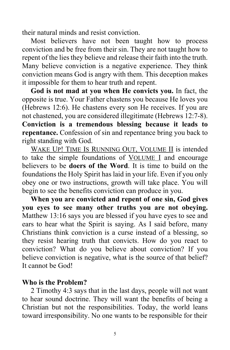their natural minds and resist conviction.

Most believers have not been taught how to process conviction and be free from their sin. They are not taught how to repent of the lies they believe and release their faith into the truth. Many believe conviction is a negative experience. They think conviction means God is angry with them. This deception makes it impossible for them to hear truth and repent.

**God is not mad at you when He convicts you.** In fact, the opposite is true. Your Father chastens you because He loves you (Hebrews 12:6). He chastens every son He receives. If you are not chastened, you are considered illegitimate (Hebrews 12:7-8). **Conviction is a tremendous blessing because it leads to repentance.** Confession of sin and repentance bring you back to right standing with God.

WAKE UP! TIME IS RUNNING OUT, VOLUME II is intended to take the simple foundations of VOLUME I and encourage believers to be **doers of the Word**. It is time to build on the foundations the Holy Spirit has laid in your life. Even if you only obey one or two instructions, growth will take place. You will begin to see the benefits conviction can produce in you.

**When you are convicted and repent of one sin, God gives you eyes to see many other truths you are not obeying.** Matthew 13:16 says you are blessed if you have eyes to see and ears to hear what the Spirit is saying. As I said before, many Christians think conviction is a curse instead of a blessing, so they resist hearing truth that convicts. How do you react to conviction? What do you believe about conviction? If you believe conviction is negative, what is the source of that belief? It cannot be God!

# **Who is the Problem?**

2 Timothy 4:3 says that in the last days, people will not want to hear sound doctrine. They will want the benefits of being a Christian but not the responsibilities. Today, the world leans toward irresponsibility. No one wants to be responsible for their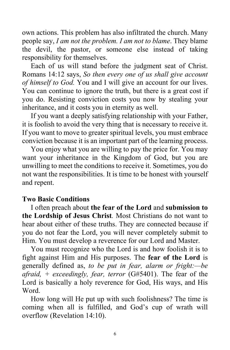own actions. This problem has also infiltrated the church. Many people say, *I am not the problem. I am not to blame*. They blame the devil, the pastor, or someone else instead of taking responsibility for themselves.

Each of us will stand before the judgment seat of Christ. Romans 14:12 says, *So then every one of us shall give account of himself to God.* You and I will give an account for our lives. You can continue to ignore the truth, but there is a great cost if you do. Resisting conviction costs you now by stealing your inheritance, and it costs you in eternity as well.

If you want a deeply satisfying relationship with your Father, it is foolish to avoid the very thing that is necessary to receive it. If you want to move to greater spiritual levels, you must embrace conviction because it is an important part of the learning process.

You enjoy what you are willing to pay the price for. You may want your inheritance in the Kingdom of God, but you are unwilling to meet the conditions to receive it. Sometimes, you do not want the responsibilities. It is time to be honest with yourself and repent.

## **Two Basic Conditions**

I often preach about **the fear of the Lord** and **submission to the Lordship of Jesus Christ***.* Most Christians do not want to hear about either of these truths. They are connected because if you do not fear the Lord, you will never completely submit to Him. You must develop a reverence for our Lord and Master.

You must recognize who the Lord is and how foolish it is to fight against Him and His purposes. The **fear of the Lord** is generally defined as, *to be put in fear, alarm or fright:—be afraid, + exceedingly, fear, terror* (G#5401). The fear of the Lord is basically a holy reverence for God, His ways, and His Word.

How long will He put up with such foolishness? The time is coming when all is fulfilled, and God's cup of wrath will overflow (Revelation 14:10).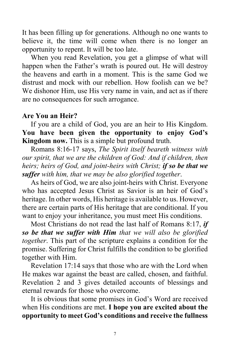It has been filling up for generations. Although no one wants to believe it, the time will come when there is no longer an opportunity to repent. It will be too late.

When you read Revelation, you get a glimpse of what will happen when the Father's wrath is poured out. He will destroy the heavens and earth in a moment. This is the same God we distrust and mock with our rebellion. How foolish can we be? We dishonor Him, use His very name in vain, and act as if there are no consequences for such arrogance.

## **Are You an Heir?**

If you are a child of God, you are an heir to His Kingdom. **You have been given the opportunity to enjoy God's Kingdom now.** This is a simple but profound truth.

Romans 8:16-17 says, *The Spirit itself beareth witness with our spirit, that we are the children of God: And if children, then heirs; heirs of God, and joint-heirs with Christ; if so be that we suffer with him, that we may be also glorified together*.

As heirs of God, we are also joint-heirs with Christ. Everyone who has accepted Jesus Christ as Savior is an heir of God's heritage. In other words, His heritage is available to us. However, there are certain parts of His heritage that are conditional. If you want to enjoy your inheritance, you must meet His conditions.

Most Christians do not read the last half of Romans 8:17, *if so be that we suffer with Him that we will also be glorified together*. This part of the scripture explains a condition for the promise. Suffering for Christ fulfills the condition to be glorified together with Him.

Revelation 17:14 says that those who are with the Lord when He makes war against the beast are called, chosen, and faithful. Revelation 2 and 3 gives detailed accounts of blessings and eternal rewards for those who overcome.

It is obvious that some promises in God's Word are received when His conditions are met. **I hope you are excited about the opportunity to meet God's conditions and receive the fullness**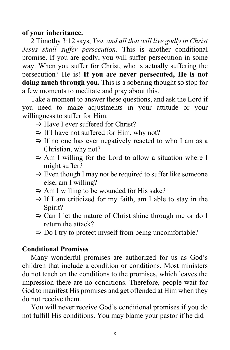#### **of your inheritance.**

2 Timothy 3:12 says, *Yea, and all that will live godly in Christ Jesus shall suffer persecution.* This is another conditional promise. If you are godly, you will suffer persecution in some way. When you suffer for Christ, who is actually suffering the persecution? He is! **If you are never persecuted, He is not doing much through you.** This is a sobering thought so stop for a few moments to meditate and pray about this.

Take a moment to answer these questions, and ask the Lord if you need to make adjustments in your attitude or your willingness to suffer for Him.

- $\Rightarrow$  Have I ever suffered for Christ?
- $\Rightarrow$  If I have not suffered for Him, why not?
- $\Rightarrow$  If no one has ever negatively reacted to who I am as a Christian, why not?
- $\Rightarrow$  Am I willing for the Lord to allow a situation where I might suffer?
- $\Rightarrow$  Even though I may not be required to suffer like someone else, am I willing?
- $\Rightarrow$  Am I willing to be wounded for His sake?
- $\Rightarrow$  If I am criticized for my faith, am I able to stay in the Spirit?
- $\Rightarrow$  Can I let the nature of Christ shine through me or do I return the attack?
- $\Rightarrow$  Do I try to protect myself from being uncomfortable?

# **Conditional Promises**

Many wonderful promises are authorized for us as God's children that include a condition or conditions. Most ministers do not teach on the conditions to the promises, which leaves the impression there are no conditions. Therefore, people wait for God to manifest His promises and get offended at Him when they do not receive them.

You will never receive God's conditional promises if you do not fulfill His conditions. You may blame your pastor if he did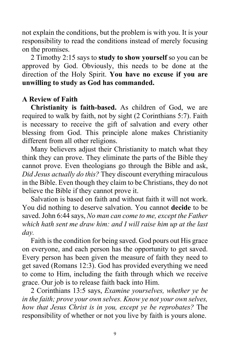not explain the conditions, but the problem is with you. It is your responsibility to read the conditions instead of merely focusing on the promises.

2 Timothy 2:15 says to **study to show yourself** so you can be approved by God. Obviously, this needs to be done at the direction of the Holy Spirit. **You have no excuse if you are unwilling to study as God has commanded.**

# **A Review of Faith**

**Christianity is faith-based.** As children of God, we are required to walk by faith, not by sight (2 Corinthians 5:7). Faith is necessary to receive the gift of salvation and every other blessing from God. This principle alone makes Christianity different from all other religions.

Many believers adjust their Christianity to match what they think they can prove. They eliminate the parts of the Bible they cannot prove. Even theologians go through the Bible and ask, *Did Jesus actually do this?* They discount everything miraculous in the Bible. Even though they claim to be Christians, they do not believe the Bible if they cannot prove it.

Salvation is based on faith and without faith it will not work. You did nothing to deserve salvation. You cannot **decide** to be saved. John 6:44 says, *No man can come to me, except the Father which hath sent me draw him: and I will raise him up at the last day.*

Faith is the condition for being saved. God pours out His grace on everyone, and each person has the opportunity to get saved. Every person has been given the measure of faith they need to get saved (Romans 12:3). God has provided everything we need to come to Him, including the faith through which we receive grace. Our job is to release faith back into Him.

2 Corinthians 13:5 says, *Examine yourselves, whether ye be in the faith; prove your own selves. Know ye not your own selves, how that Jesus Christ is in you, except ye be reprobates?* The responsibility of whether or not you live by faith is yours alone.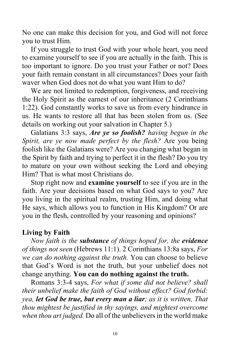No one can make this decision for you, and God will not force you to trust Him.

If you struggle to trust God with your whole heart, you need to examine yourself to see if you are actually in the faith. This is too important to ignore. Do you trust your Father or not? Does your faith remain constant in all circumstances? Does your faith waver when God does not do what you want Him to do?

We are not limited to redemption, forgiveness, and receiving the Holy Spirit as the earnest of our inheritance (2 Corinthians 1:22). God constantly works to save us from every hindrance in us. He wants to restore all that has been stolen from us. (See details on working out your salvation in Chapter 5.)

Galatians 3:3 says, *Are ye so foolish? having begun in the Spirit, are ye now made perfect by the flesh?* Are you being foolish like the Galatians were? Are you changing what began in the Spirit by faith and trying to perfect it in the flesh? Do you try to mature on your own without seeking the Lord and obeying Him? That is what most Christians do.

Stop right now and **examine yourself** to see if you are in the faith. Are your decisions based on what God says to you? Are you living in the spiritual realm, trusting Him, and doing what He says, which allows you to function in His Kingdom? Or are you in the flesh, controlled by your reasoning and opinions?

# **Living by Faith**

*Now faith is the substance of things hoped for, the evidence of things not seen* (Hebrews 11:1). 2 Corinthians 13:8a says, *For we can do nothing against the truth.* You can choose to believe that God's Word is not the truth, but your unbelief does not change anything. **You can do nothing against the truth.**

Romans 3:3-4 says, *For what if some did not believe? shall their unbelief make the faith of God without effect? God forbid: yea, let God be true, but every man a liar; as it is written, That thou mightest be justified in thy sayings, and mightest overcome when thou art judged.* Do all of the unbelievers in the world make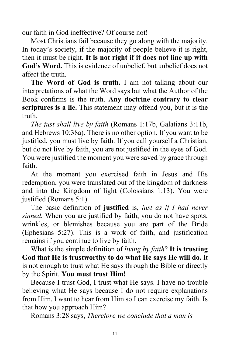our faith in God ineffective? Of course not!

Most Christians fail because they go along with the majority. In today's society, if the majority of people believe it is right, then it must be right. **It is not right if it does not line up with God's Word.** This is evidence of unbelief, but unbelief does not affect the truth.

**The Word of God is truth.** I am not talking about our interpretations of what the Word says but what the Author of the Book confirms is the truth. **Any doctrine contrary to clear scriptures is a lie.** This statement may offend you, but it is the truth.

*The just shall live by faith* (Romans 1:17b, Galatians 3:11b, and Hebrews 10:38a). There is no other option. If you want to be justified, you must live by faith. If you call yourself a Christian, but do not live by faith, you are not justified in the eyes of God. You were justified the moment you were saved by grace through faith.

At the moment you exercised faith in Jesus and His redemption, you were translated out of the kingdom of darkness and into the Kingdom of light (Colossians 1:13). You were justified (Romans 5:1).

The basic definition of **justified** is, *just as if I had never sinned.* When you are justified by faith, you do not have spots, wrinkles, or blemishes because you are part of the Bride (Ephesians 5:27). This is a work of faith, and justification remains if you continue to live by faith.

What is the simple definition of *living by faith*? **It is trusting God that He is trustworthy to do what He says He will do.** It is not enough to trust what He says through the Bible or directly by the Spirit. **You must trust Him!**

Because I trust God, I trust what He says. I have no trouble believing what He says because I do not require explanations from Him. I want to hear from Him so I can exercise my faith. Is that how you approach Him?

Romans 3:28 says, *Therefore we conclude that a man is*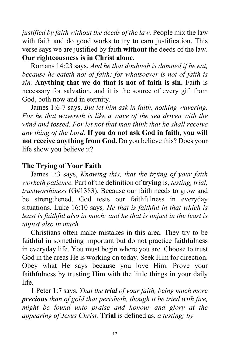*justified by faith without the deeds of the law.* People mix the law with faith and do good works to try to earn justification. This verse says we are justified by faith **without** the deeds of the law. **Our righteousness is in Christ alone.**

Romans 14:23 says, *And he that doubteth is damned if he eat, because he eateth not of faith: for whatsoever is not of faith is sin.* **Anything that we do that is not of faith is sin.** Faith is necessary for salvation, and it is the source of every gift from God, both now and in eternity.

James 1:6-7 says, *But let him ask in faith, nothing wavering. For he that wavereth is like a wave of the sea driven with the wind and tossed. For let not that man think that he shall receive any thing of the Lord.* **If you do not ask God in faith, you will not receive anything from God.** Do you believe this? Does your life show you believe it?

# **The Trying of Your Faith**

James 1:3 says, *Knowing this, that the trying of your faith worketh patience.* Part of the definition of **trying** is, *testing, trial, trustworthiness* (G#1383)*.* Because our faith needs to grow and be strengthened, God tests our faithfulness in everyday situations*.* Luke 16:10 says*, He that is faithful in that which is least is faithful also in much: and he that is unjust in the least is unjust also in much.*

Christians often make mistakes in this area. They try to be faithful in something important but do not practice faithfulness in everyday life. You must begin where you are. Choose to trust God in the areas He is working on today. Seek Him for direction. Obey what He says because you love Him. Prove your faithfulness by trusting Him with the little things in your daily life.

1 Peter 1:7 says, *That the trial of your faith, being much more precious than of gold that perisheth, though it be tried with fire, might be found unto praise and honour and glory at the appearing of Jesus Christ.* **Trial** is defined as*, a testing; by*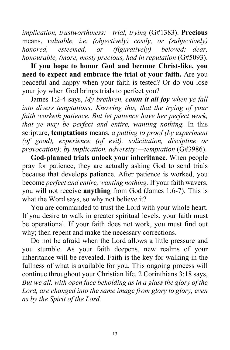*implication, trustworthiness:—trial, trying* (G#1383). **Precious** means, *valuable, i.e. (objectively) costly, or (subjectively) honored, esteemed, or (figuratively) beloved:—dear, honourable, (more, most) precious, had in reputation (G#5093).* 

**If you hope to honor God and become Christ-like, you need to expect and embrace the trial of your faith.** Are you peaceful and happy when your faith is tested? Or do you lose your joy when God brings trials to perfect you?

James 1:2-4 says, *My brethren, count it all joy when ye fall into divers temptations; Knowing this, that the trying of your faith worketh patience. But let patience have her perfect work, that ye may be perfect and entire, wanting nothing.* In this scripture, **temptations** means, *a putting to proof (by experiment (of good), experience (of evil), solicitation, discipline or provocation); by implication, adversity:—temptation (G#3986).* 

**God-planned trials unlock your inheritance.** When people pray for patience, they are actually asking God to send trials because that develops patience. After patience is worked, you become *perfect and entire, wanting nothing.* If your faith wavers, you will not receive **anything** from God (James 1:6-7). This is what the Word says, so why not believe it?

You are commanded to trust the Lord with your whole heart. If you desire to walk in greater spiritual levels, your faith must be operational. If your faith does not work, you must find out why; then repent and make the necessary corrections.

Do not be afraid when the Lord allows a little pressure and you stumble. As your faith deepens, new realms of your inheritance will be revealed. Faith is the key for walking in the fullness of what is available for you. This ongoing process will continue throughout your Christian life. 2 Corinthians 3:18 says, *But we all, with open face beholding as in a glass the glory of the Lord, are changed into the same image from glory to glory, even as by the Spirit of the Lord.*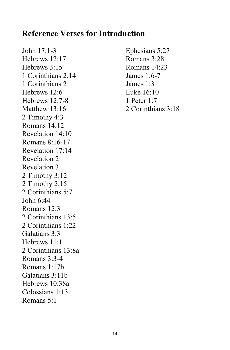# **Reference Verses for Introduction**

John 17:1-3 Hebrews 12:17 Hebrews 3:15 1 Corinthians 2:14 1 Corinthians 2 Hebrews 12:6 Hebrews 12:7-8 Matthew 13:16 2 Timothy 4:3 Romans 14:12 Revelation 14:10 Romans 8:16-17 Revelation 17:14 Revelation 2 Revelation 3 2 Timothy 3:12 2 Timothy 2:15 2 Corinthians 5:7 John 6:44 Romans 12:3 2 Corinthians 13:5 2 Corinthians 1:22 Galatians 3:3 Hebrews 11:1 2 Corinthians 13:8a Romans 3:3-4 Romans 1:17b Galatians 3:11b Hebrews 10:38a Colossians 1:13 Romans 5:1

Ephesians 5:27 Romans 3:28 Romans 14:23 James 1:6-7 James 1:3 Luke 16:10 1 Peter 1:7 2 Corinthians 3:18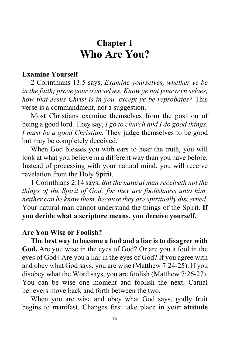# **Chapter 1 Who Are You?**

## **Examine Yourself**

2 Corinthians 13:5 says, *Examine yourselves, whether ye be in the faith; prove your own selves. Know ye not your own selves, how that Jesus Christ is in you, except ye be reprobates?* This verse is a commandment, not a suggestion.

Most Christians examine themselves from the position of being a good lord. They say, *I go to church and I do good things. I must be a good Christian.* They judge themselves to be good but may be completely deceived.

When God blesses you with ears to hear the truth, you will look at what you believe in a different way than you have before. Instead of processing with your natural mind, you will receive revelation from the Holy Spirit.

1 Corinthians 2:14 says, *But the natural man receiveth not the things of the Spirit of God: for they are foolishness unto him: neither can he know them, because they are spiritually discerned.* Your natural man cannot understand the things of the Spirit. **If you decide what a scripture means, you deceive yourself.**

#### **Are You Wise or Foolish?**

**The best way to become a fool and a liar is to disagree with God.** Are you wise in the eyes of God? Or are you a fool in the eyes of God? Are you a liar in the eyes of God? If you agree with and obey what God says, you are wise (Matthew 7:24-25). If you disobey what the Word says, you are foolish (Matthew 7:26-27). You can be wise one moment and foolish the next. Carnal believers move back and forth between the two.

When you are wise and obey what God says, godly fruit begins to manifest. Changes first take place in your **attitude**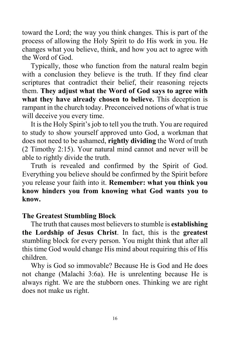toward the Lord; the way you think changes. This is part of the process of allowing the Holy Spirit to do His work in you. He changes what you believe, think, and how you act to agree with the Word of God.

Typically, those who function from the natural realm begin with a conclusion they believe is the truth. If they find clear scriptures that contradict their belief, their reasoning rejects them. **They adjust what the Word of God says to agree with what they have already chosen to believe.** This deception is rampant in the church today. Preconceived notions of what is true will deceive you every time.

It is the Holy Spirit's job to tell you the truth. You are required to study to show yourself approved unto God, a workman that does not need to be ashamed, **rightly dividing** the Word of truth (2 Timothy 2:15). Your natural mind cannot and never will be able to rightly divide the truth.

Truth is revealed and confirmed by the Spirit of God. Everything you believe should be confirmed by the Spirit before you release your faith into it. **Remember: what you think you know hinders you from knowing what God wants you to know.**

## **The Greatest Stumbling Block**

The truth that causes most believers to stumble is **establishing the Lordship of Jesus Christ**. In fact, this is the **greatest** stumbling block for every person. You might think that after all this time God would change His mind about requiring this of His children.

Why is God so immovable? Because He is God and He does not change (Malachi 3:6a). He is unrelenting because He is always right. We are the stubborn ones. Thinking we are right does not make us right.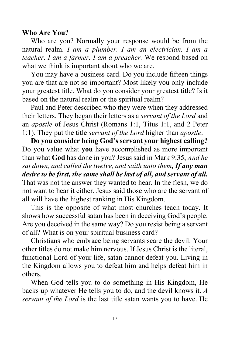#### **Who Are You?**

Who are you? Normally your response would be from the natural realm. *I am a plumber. I am an electrician. I am a teacher. I am a farmer. I am a preacher.* We respond based on what we think is important about who we are.

You may have a business card. Do you include fifteen things you are that are not so important? Most likely you only include your greatest title. What do you consider your greatest title? Is it based on the natural realm or the spiritual realm?

Paul and Peter described who they were when they addressed their letters. They began their letters as a *servant of the Lord* and an *apostle* of Jesus Christ (Romans 1:1, Titus 1:1, and 2 Peter 1:1). They put the title *servant of the Lord* higher than *apostle*.

**Do you consider being God's servant your highest calling?** Do you value what **you** have accomplished as more important than what **God** has done in you? Jesus said in Mark 9:35, *And he sat down, and called the twelve, and saith unto them, If any man desire to be first, the same shall be last of all, and servant of all.* That was not the answer they wanted to hear. In the flesh, we do not want to hear it either. Jesus said those who are the servant of all will have the highest ranking in His Kingdom.

This is the opposite of what most churches teach today. It shows how successful satan has been in deceiving God's people. Are you deceived in the same way? Do you resist being a servant of all? What is on your spiritual business card?

Christians who embrace being servants scare the devil. Your other titles do not make him nervous. If Jesus Christ is the literal, functional Lord of your life, satan cannot defeat you. Living in the Kingdom allows you to defeat him and helps defeat him in others.

When God tells you to do something in His Kingdom, He backs up whatever He tells you to do, and the devil knows it. *A servant of the Lord* is the last title satan wants you to have. He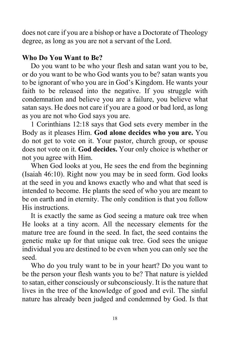does not care if you are a bishop or have a Doctorate of Theology degree, as long as you are not a servant of the Lord.

# **Who Do You Want to Be?**

Do you want to be who your flesh and satan want you to be, or do you want to be who God wants you to be? satan wants you to be ignorant of who you are in God's Kingdom. He wants your faith to be released into the negative. If you struggle with condemnation and believe you are a failure, you believe what satan says. He does not care if you are a good or bad lord, as long as you are not who God says you are.

1 Corinthians 12:18 says that God sets every member in the Body as it pleases Him. **God alone decides who you are.** You do not get to vote on it. Your pastor, church group, or spouse does not vote on it. **God decides.** Your only choice is whether or not you agree with Him.

When God looks at you, He sees the end from the beginning (Isaiah 46:10). Right now you may be in seed form. God looks at the seed in you and knows exactly who and what that seed is intended to become. He plants the seed of who you are meant to be on earth and in eternity. The only condition is that you follow His instructions.

It is exactly the same as God seeing a mature oak tree when He looks at a tiny acorn. All the necessary elements for the mature tree are found in the seed. In fact, the seed contains the genetic make up for that unique oak tree. God sees the unique individual you are destined to be even when you can only see the seed.

Who do you truly want to be in your heart? Do you want to be the person your flesh wants you to be? That nature is yielded to satan, either consciously or subconsciously. It is the nature that lives in the tree of the knowledge of good and evil. The sinful nature has already been judged and condemned by God. Is that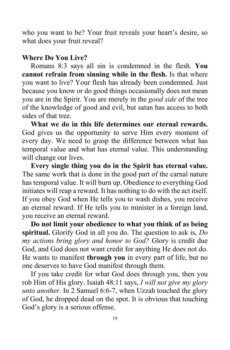who you want to be? Your fruit reveals your heart's desire, so what does your fruit reveal?

## **Where Do You Live?**

Romans 8:3 says all sin is condemned in the flesh. **You cannot refrain from sinning while in the flesh.** Is that where you want to live? Your flesh has already been condemned. Just because you know or do good things occasionally does not mean you are in the Spirit. You are merely in the *good side* of the tree of the knowledge of good and evil, but satan has access to both sides of that tree.

**What we do in this life determines our eternal rewards.** God gives us the opportunity to serve Him every moment of every day. We need to grasp the difference between what has temporal value and what has eternal value. This understanding will change our lives.

**Every single thing you do in the Spirit has eternal value.** The same work that is done in the good part of the carnal nature has temporal value. It will burn up. Obedience to everything God initiates will reap a reward. It has nothing to do with the act itself. If you obey God when He tells you to wash dishes, you receive an eternal reward. If He tells you to minister in a foreign land, you receive an eternal reward.

**Do not limit your obedience to what you think of as being spiritual.** Glorify God in all you do. The question to ask is, *Do my actions bring glory and honor to God?* Glory is credit due God, and God does not want credit for anything He does not do. He wants to manifest **through you** in every part of life, but no one deserves to have God manifest through them.

If you take credit for what God does through you, then you rob Him of His glory. Isaiah 48:11 says, *I will not give my glory unto another.* In 2 Samuel 6:6-7, when Uzzah touched the glory of God, he dropped dead on the spot. It is obvious that touching God's glory is a serious offense.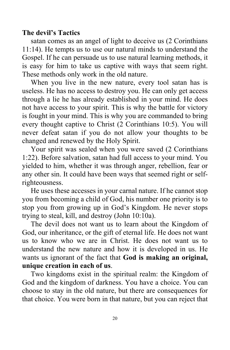#### **The devil's Tactics**

satan comes as an angel of light to deceive us (2 Corinthians 11:14). He tempts us to use our natural minds to understand the Gospel. If he can persuade us to use natural learning methods, it is easy for him to take us captive with ways that seem right. These methods only work in the old nature.

When you live in the new nature, every tool satan has is useless. He has no access to destroy you. He can only get access through a lie he has already established in your mind. He does not have access to your spirit. This is why the battle for victory is fought in your mind. This is why you are commanded to bring every thought captive to Christ (2 Corinthians 10:5). You will never defeat satan if you do not allow your thoughts to be changed and renewed by the Holy Spirit.

Your spirit was sealed when you were saved (2 Corinthians 1:22). Before salvation, satan had full access to your mind. You yielded to him, whether it was through anger, rebellion, fear or any other sin. It could have been ways that seemed right or selfrighteousness.

He uses these accesses in your carnal nature. If he cannot stop you from becoming a child of God, his number one priority is to stop you from growing up in God's Kingdom. He never stops trying to steal, kill, and destroy (John 10:10a).

The devil does not want us to learn about the Kingdom of God, our inheritance, or the gift of eternal life. He does not want us to know who we are in Christ. He does not want us to understand the new nature and how it is developed in us. He wants us ignorant of the fact that **God is making an original, unique creation in each of us**.

Two kingdoms exist in the spiritual realm: the Kingdom of God and the kingdom of darkness. You have a choice. You can choose to stay in the old nature, but there are consequences for that choice. You were born in that nature, but you can reject that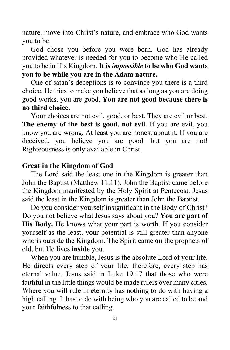nature, move into Christ's nature, and embrace who God wants you to be.

God chose you before you were born. God has already provided whatever is needed for you to become who He called you to be in His Kingdom. **It is** *impossible* **to be who God wants you to be while you are in the Adam nature.**

One of satan's deceptions is to convince you there is a third choice. He tries to make you believe that as long as you are doing good works, you are good. **You are not good because there is no third choice.**

Your choices are not evil, good, or best. They are evil or best. The enemy of the best is good, not evil. If you are evil, you know you are wrong. At least you are honest about it. If you are deceived, you believe you are good, but you are not! Righteousness is only available in Christ.

## **Great in the Kingdom of God**

The Lord said the least one in the Kingdom is greater than John the Baptist (Matthew 11:11). John the Baptist came before the Kingdom manifested by the Holy Spirit at Pentecost. Jesus said the least in the Kingdom is greater than John the Baptist.

Do you consider yourself insignificant in the Body of Christ? Do you not believe what Jesus says about you? **You are part of His Body.** He knows what your part is worth. If you consider yourself as the least, your potential is still greater than anyone who is outside the Kingdom. The Spirit came **on** the prophets of old, but He lives **inside** you.

When you are humble, Jesus is the absolute Lord of your life. He directs every step of your life; therefore, every step has eternal value. Jesus said in Luke 19:17 that those who were faithful in the little things would be made rulers over many cities. Where you will rule in eternity has nothing to do with having a high calling. It has to do with being who you are called to be and your faithfulness to that calling.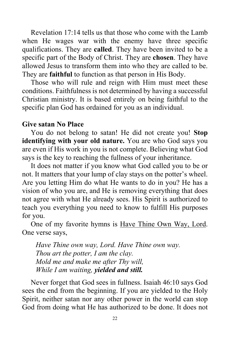Revelation 17:14 tells us that those who come with the Lamb when He wages war with the enemy have three specific qualifications. They are **called**. They have been invited to be a specific part of the Body of Christ. They are **chosen**. They have allowed Jesus to transform them into who they are called to be. They are **faithful** to function as that person in His Body.

Those who will rule and reign with Him must meet these conditions. Faithfulness is not determined by having a successful Christian ministry. It is based entirely on being faithful to the specific plan God has ordained for you as an individual.

#### **Give satan No Place**

You do not belong to satan! He did not create you! **Stop identifying with your old nature.** You are who God says you are even if His work in you is not complete. Believing what God says is the key to reaching the fullness of your inheritance.

It does not matter if you know what God called you to be or not. It matters that your lump of clay stays on the potter's wheel. Are you letting Him do what He wants to do in you? He has a vision of who you are, and He is removing everything that does not agree with what He already sees. His Spirit is authorized to teach you everything you need to know to fulfill His purposes for you.

One of my favorite hymns is Have Thine Own Way, Lord. One verse says,

*Have Thine own way, Lord. Have Thine own way. Thou art the potter, I am the clay. Mold me and make me after Thy will, While I am waiting, yielded and still.*

Never forget that God sees in fullness. Isaiah 46:10 says God sees the end from the beginning. If you are yielded to the Holy Spirit, neither satan nor any other power in the world can stop God from doing what He has authorized to be done. It does not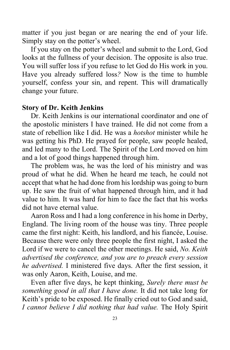matter if you just began or are nearing the end of your life. Simply stay on the potter's wheel.

If you stay on the potter's wheel and submit to the Lord, God looks at the fullness of your decision. The opposite is also true. You will suffer loss if you refuse to let God do His work in you. Have you already suffered loss*?* Now is the time to humble yourself, confess your sin, and repent. This will dramatically change your future.

#### **Story of Dr. Keith Jenkins**

Dr. Keith Jenkins is our international coordinator and one of the apostolic ministers I have trained. He did not come from a state of rebellion like I did. He was a *hotshot* minister while he was getting his PhD. He prayed for people, saw people healed, and led many to the Lord. The Spirit of the Lord moved on him and a lot of good things happened through him.

The problem was, he was the lord of his ministry and was proud of what he did. When he heard me teach, he could not accept that what he had done from his lordship was going to burn up. He saw the fruit of what happened through him, and it had value to him. It was hard for him to face the fact that his works did not have eternal value.

Aaron Ross and I had a long conference in his home in Derby, England. The living room of the house was tiny. Three people came the first night: Keith, his landlord, and his fiancée, Louise. Because there were only three people the first night, I asked the Lord if we were to cancel the other meetings. He said, *No. Keith advertised the conference, and you are to preach every session he advertised.* I ministered five days. After the first session, it was only Aaron, Keith, Louise, and me.

Even after five days, he kept thinking, *Surely there must be something good in all that I have done.* It did not take long for Keith's pride to be exposed. He finally cried out to God and said, *I cannot believe I did nothing that had value.* The Holy Spirit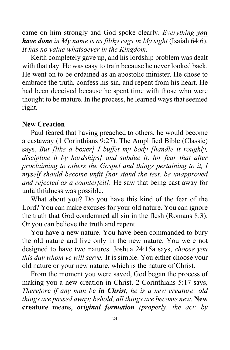came on him strongly and God spoke clearly. *Everything you have done in My name is as filthy rags in My sight* (Isaiah 64:6). *It has no value whatsoever in the Kingdom.*

Keith completely gave up, and his lordship problem was dealt with that day. He was easy to train because he never looked back. He went on to be ordained as an apostolic minister. He chose to embrace the truth, confess his sin, and repent from his heart. He had been deceived because he spent time with those who were thought to be mature. In the process, he learned ways that seemed right.

#### **New Creation**

Paul feared that having preached to others, he would become a castaway (1 Corinthians 9:27). The Amplified Bible (Classic) says, *But [like a boxer] I buffet my body [handle it roughly, discipline it by hardships] and subdue it, for fear that after proclaiming to others the Gospel and things pertaining to it, I myself should become unfit [not stand the test, be unapproved and rejected as a counterfeit].* He saw that being cast away for unfaithfulness was possible.

What about you? Do you have this kind of the fear of the Lord? You can make excuses for your old nature. You can ignore the truth that God condemned all sin in the flesh (Romans 8:3). Or you can believe the truth and repent.

You have a new nature. You have been commanded to bury the old nature and live only in the new nature. You were not designed to have two natures. Joshua 24:15a says, *choose you this day whom ye will serve.* It is simple. You either choose your old nature or your new nature, which is the nature of Christ.

From the moment you were saved, God began the process of making you a new creation in Christ. 2 Corinthians 5:17 says, *Therefore if any man be in Christ, he is a new creature: old things are passed away; behold, all things are become new.* **New creature** means, *original formation (properly, the act; by*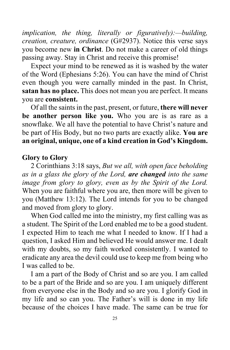*implication, the thing, literally or figuratively):—building, creation, creature, ordinance* (G#2937). Notice this verse says you become new **in Christ**. Do not make a career of old things passing away. Stay in Christ and receive this promise!

Expect your mind to be renewed as it is washed by the water of the Word (Ephesians 5:26). You can have the mind of Christ even though you were carnally minded in the past. In Christ, **satan has no place.** This does not mean you are perfect. It means you are **consistent.**

Of all the saints in the past, present, or future, **there will never be another person like you.** Who you are is as rare as a snowflake. We all have the potential to have Christ's nature and be part of His Body, but no two parts are exactly alike. **You are an original, unique, one of a kind creation in God's Kingdom.**

#### **Glory to Glory**

2 Corinthians 3:18 says, *But we all, with open face beholding as in a glass the glory of the Lord, are changed into the same image from glory to glory, even as by the Spirit of the Lord.* When you are faithful where you are, then more will be given to you (Matthew 13:12). The Lord intends for you to be changed and moved from glory to glory.

When God called me into the ministry, my first calling was as a student. The Spirit of the Lord enabled me to be a good student. I expected Him to teach me what I needed to know. If I had a question, I asked Him and believed He would answer me. I dealt with my doubts, so my faith worked consistently. I wanted to eradicate any area the devil could use to keep me from being who I was called to be.

I am a part of the Body of Christ and so are you. I am called to be a part of the Bride and so are you. I am uniquely different from everyone else in the Body and so are you. I glorify God in my life and so can you. The Father's will is done in my life because of the choices I have made. The same can be true for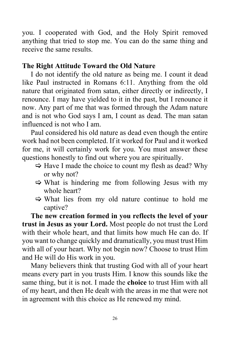you. I cooperated with God, and the Holy Spirit removed anything that tried to stop me. You can do the same thing and receive the same results.

## **The Right Attitude Toward the Old Nature**

I do not identify the old nature as being me. I count it dead like Paul instructed in Romans 6:11. Anything from the old nature that originated from satan, either directly or indirectly, I renounce. I may have yielded to it in the past, but I renounce it now. Any part of me that was formed through the Adam nature and is not who God says I am, I count as dead. The man satan influenced is not who I am.

Paul considered his old nature as dead even though the entire work had not been completed. If it worked for Paul and it worked for me, it will certainly work for you. You must answer these questions honestly to find out where you are spiritually.

- $\Rightarrow$  Have I made the choice to count my flesh as dead? Why or why not?
- $\Rightarrow$  What is hindering me from following Jesus with my whole heart?
- $\Rightarrow$  What lies from my old nature continue to hold me captive?

**The new creation formed in you reflects the level of your trust in Jesus as your Lord.** Most people do not trust the Lord with their whole heart, and that limits how much He can do. If you want to change quickly and dramatically, you must trust Him with all of your heart. Why not begin now? Choose to trust Him and He will do His work in you.

Many believers think that trusting God with all of your heart means every part in you trusts Him. I know this sounds like the same thing, but it is not. I made the **choice** to trust Him with all of my heart, and then He dealt with the areas in me that were not in agreement with this choice as He renewed my mind.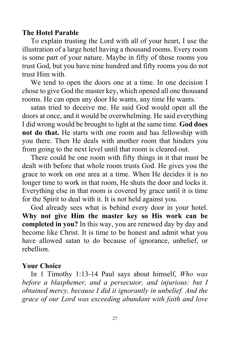#### **The Hotel Parable**

To explain trusting the Lord with all of your heart, I use the illustration of a large hotel having a thousand rooms. Every room is some part of your nature. Maybe in fifty of those rooms you trust God, but you have nine hundred and fifty rooms you do not trust Him with.

We tend to open the doors one at a time. In one decision I chose to give God the master key, which opened all one thousand rooms. He can open any door He wants, any time He wants.

satan tried to deceive me. He said God would open all the doors at once, and it would be overwhelming. He said everything I did wrong would be brought to light at the same time. **God does not do that.** He starts with one room and has fellowship with you there. Then He deals with another room that hinders you from going to the next level until that room is cleared out.

There could be one room with fifty things in it that must be dealt with before that whole room trusts God. He gives you the grace to work on one area at a time. When He decides it is no longer time to work in that room, He shuts the door and locks it. Everything else in that room is covered by grace until it is time for the Spirit to deal with it. It is not held against you.

God already sees what is behind every door in your hotel. **Why not give Him the master key so His work can be completed in you?** In this way, you are renewed day by day and become like Christ. It is time to be honest and admit what you have allowed satan to do because of ignorance, unbelief, or rebellion.

## **Your Choice**

In 1 Timothy 1:13-14 Paul says about himself, *Who was before a blasphemer, and a persecutor, and injurious: but I obtained mercy, because I did it ignorantly in unbelief. And the grace of our Lord was exceeding abundant with faith and love*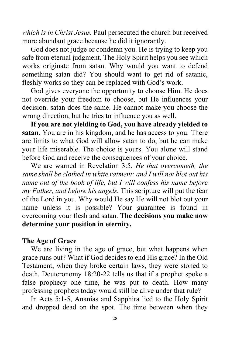*which is in Christ Jesus.* Paul persecuted the church but received more abundant grace because he did it ignorantly.

God does not judge or condemn you. He is trying to keep you safe from eternal judgment. The Holy Spirit helps you see which works originate from satan. Why would you want to defend something satan did? You should want to get rid of satanic, fleshly works so they can be replaced with God's work.

God gives everyone the opportunity to choose Him. He does not override your freedom to choose, but He influences your decision. satan does the same. He cannot make you choose the wrong direction, but he tries to influence you as well.

**If you are not yielding to God, you have already yielded to satan.** You are in his kingdom, and he has access to you. There are limits to what God will allow satan to do, but he can make your life miserable. The choice is yours. You alone will stand before God and receive the consequences of your choice.

We are warned in Revelation 3:5, *He that overcometh, the same shall be clothed in white raiment; and I will not blot out his name out of the book of life, but I will confess his name before my Father, and before his angels.* This scripture will put the fear of the Lord in you. Why would He say He will not blot out your name unless it is possible? Your guarantee is found in overcoming your flesh and satan. **The decisions you make now determine your position in eternity.**

# **The Age of Grace**

We are living in the age of grace, but what happens when grace runs out? What if God decides to end His grace? In the Old Testament, when they broke certain laws, they were stoned to death. Deuteronomy 18:20-22 tells us that if a prophet spoke a false prophecy one time, he was put to death. How many professing prophets today would still be alive under that rule?

In Acts 5:1-5, Ananias and Sapphira lied to the Holy Spirit and dropped dead on the spot. The time between when they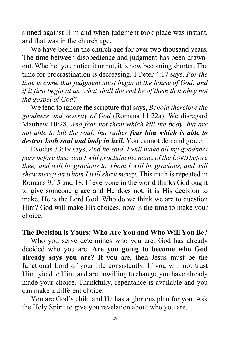sinned against Him and when judgment took place was instant, and that was in the church age.

We have been in the church age for over two thousand years. The time between disobedience and judgment has been drawnout. Whether you notice it or not, it is now becoming shorter. The time for procrastination is decreasing. 1 Peter 4:17 says, *For the time is come that judgment must begin at the house of God: and if it first begin at us, what shall the end be of them that obey not the gospel of God?*

We tend to ignore the scripture that says, *Behold therefore the goodness and severity of God* (Romans 11:22a). We disregard Matthew 10:28, *And fear not them which kill the body, but are not able to kill the soul: but rather fear him which is able to destroy both soul and body in hell.* You cannot demand grace.

Exodus 33:19 says, *And he said, I will make all my goodness pass before thee, and I will proclaim the name of the LORD before thee; and will be gracious to whom I will be gracious, and will shew mercy on whom I will shew mercy.* This truth is repeated in Romans 9:15 and 18. If everyone in the world thinks God ought to give someone grace and He does not, it is His decision to make. He is the Lord God. Who do we think we are to question Him? God will make His choices; now is the time to make your choice.

#### **The Decision is Yours: Who Are You and Who Will You Be?**

Who you serve determines who you are. God has already decided who you are. **Are you going to become who God already says you are?** If you are, then Jesus must be the functional Lord of your life consistently. If you will not trust Him, yield to Him, and are unwilling to change, you have already made your choice. Thankfully, repentance is available and you can make a different choice.

You are God's child and He has a glorious plan for you. Ask the Holy Spirit to give you revelation about who you are.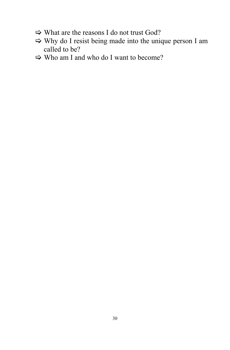- $\Rightarrow$  What are the reasons I do not trust God?
- Why do I resist being made into the unique person I am called to be?
- $\Rightarrow$  Who am I and who do I want to become?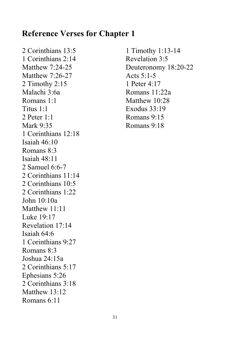# **Reference Verses for Chapter 1**

2 Corinthians 13:5 1 Corinthians 2:14 Matthew 7:24-25 Matthew 7:26-27 2 Timothy 2:15 Malachi 3:6a Romans 1:1 Titus 1:1 2 Peter 1:1 Mark 9:35 1 Corinthians 12:18 Isaiah 46:10 Romans 8:3 Isaiah 48:11 2 Samuel 6:6-7 2 Corinthians 11:14 2 Corinthians 10:5 2 Corinthians 1:22 John 10:10a Matthew 11:11 Luke 19:17 Revelation 17:14 Isaiah 64:6 1 Corinthians 9:27 Romans 8:3 Joshua 24:15a 2 Corinthians 5:17 Ephesians 5:26 2 Corinthians 3:18 Matthew 13:12 Romans 6:11

1 Timothy 1:13-14 Revelation 3:5 Deuteronomy 18:20-22 Acts  $5:1-5$ 1 Peter 4:17 Romans 11:22a Matthew 10:28 Exodus 33:19 Romans 9:15 Romans 9:18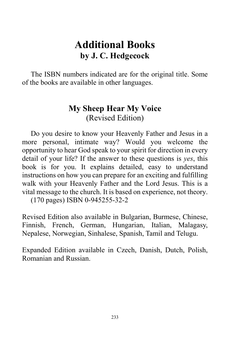# **Additional Books by J. C. Hedgecock**

The ISBN numbers indicated are for the original title. Some of the books are available in other languages.

# **My Sheep Hear My Voice** (Revised Edition)

Do you desire to know your Heavenly Father and Jesus in a more personal, intimate way? Would you welcome the opportunity to hear God speak to your spirit for direction in every detail of your life? If the answer to these questions is *yes*, this book is for you. It explains detailed, easy to understand instructions on how you can prepare for an exciting and fulfilling walk with your Heavenly Father and the Lord Jesus. This is a vital message to the church. It is based on experience, not theory.

(170 pages) ISBN 0-945255-32-2

Revised Edition also available in Bulgarian, Burmese, Chinese, Finnish, French, German, Hungarian, Italian, Malagasy, Nepalese, Norwegian, Sinhalese, Spanish, Tamil and Telugu.

Expanded Edition available in Czech, Danish, Dutch, Polish, Romanian and Russian.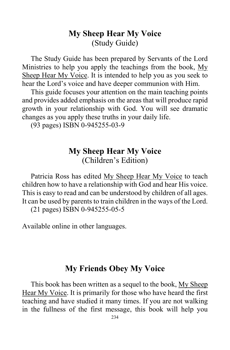# **My Sheep Hear My Voice** (Study Guide)

The Study Guide has been prepared by Servants of the Lord Ministries to help you apply the teachings from the book, My Sheep Hear My Voice. It is intended to help you as you seek to hear the Lord's voice and have deeper communion with Him.

This guide focuses your attention on the main teaching points and provides added emphasis on the areas that will produce rapid growth in your relationship with God. You will see dramatic changes as you apply these truths in your daily life.

(93 pages) ISBN 0-945255-03-9

# **My Sheep Hear My Voice** (Children's Edition)

Patricia Ross has edited My Sheep Hear My Voice to teach children how to have a relationship with God and hear His voice. This is easy to read and can be understood by children of all ages. It can be used by parents to train children in the ways of the Lord.

(21 pages) ISBN 0-945255-05-5

Available online in other languages.

# **My Friends Obey My Voice**

This book has been written as a sequel to the book, My Sheep Hear My Voice. It is primarily for those who have heard the first teaching and have studied it many times. If you are not walking in the fullness of the first message, this book will help you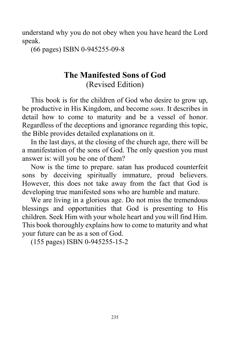understand why you do not obey when you have heard the Lord speak.

(66 pages) ISBN 0-945255-09-8

# **The Manifested Sons of God** (Revised Edition)

This book is for the children of God who desire to grow up, be productive in His Kingdom, and become *sons*. It describes in detail how to come to maturity and be a vessel of honor. Regardless of the deceptions and ignorance regarding this topic, the Bible provides detailed explanations on it.

In the last days, at the closing of the church age, there will be a manifestation of the sons of God. The only question you must answer is: will you be one of them?

Now is the time to prepare. satan has produced counterfeit sons by deceiving spiritually immature, proud believers. However, this does not take away from the fact that God is developing true manifested sons who are humble and mature.

We are living in a glorious age. Do not miss the tremendous blessings and opportunities that God is presenting to His children. Seek Him with your whole heart and you will find Him. This book thoroughly explains how to come to maturity and what your future can be as a son of God.

(155 pages) ISBN 0-945255-15-2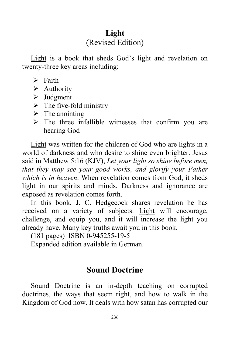# **Light** (Revised Edition)

Light is a book that sheds God's light and revelation on twenty-three key areas including:

- $\triangleright$  Faith
- $\triangleright$  Authority
- $\triangleright$  Judgment
- $\triangleright$  The five-fold ministry
- $\triangleright$  The anointing
- $\triangleright$  The three infallible witnesses that confirm you are hearing God

Light was written for the children of God who are lights in a world of darkness and who desire to shine even brighter. Jesus said in Matthew 5:16 (KJV), *Let your light so shine before men, that they may see your good works, and glorify your Father which is in heaven*. When revelation comes from God, it sheds light in our spirits and minds. Darkness and ignorance are exposed as revelation comes forth.

In this book, J. C. Hedgecock shares revelation he has received on a variety of subjects. Light will encourage, challenge, and equip you, and it will increase the light you already have. Many key truths await you in this book.

(181 pages) ISBN 0-945255-19-5

Expanded edition available in German.

# **Sound Doctrine**

Sound Doctrine is an in-depth teaching on corrupted doctrines, the ways that seem right, and how to walk in the Kingdom of God now. It deals with how satan has corrupted our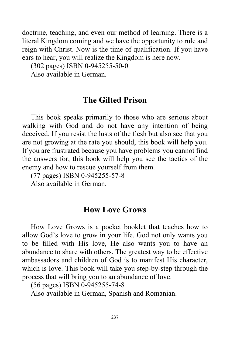doctrine, teaching, and even our method of learning. There is a literal Kingdom coming and we have the opportunity to rule and reign with Christ. Now is the time of qualification. If you have ears to hear, you will realize the Kingdom is here now.

(302 pages) ISBN 0-945255-50-0

Also available in German.

# **The Gilted Prison**

This book speaks primarily to those who are serious about walking with God and do not have any intention of being deceived. If you resist the lusts of the flesh but also see that you are not growing at the rate you should, this book will help you. If you are frustrated because you have problems you cannot find the answers for, this book will help you see the tactics of the enemy and how to rescue yourself from them.

(77 pages) ISBN 0-945255-57-8

Also available in German.

# **How Love Grows**

How Love Grows is a pocket booklet that teaches how to allow God's love to grow in your life. God not only wants you to be filled with His love, He also wants you to have an abundance to share with others. The greatest way to be effective ambassadors and children of God is to manifest His character, which is love. This book will take you step-by-step through the process that will bring you to an abundance of love.

(56 pages) ISBN 0-945255-74-8

Also available in German, Spanish and Romanian.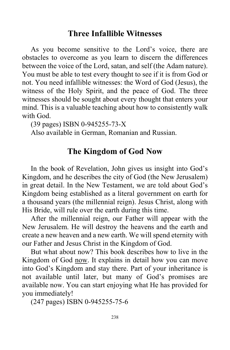# **Three Infallible Witnesses**

As you become sensitive to the Lord's voice, there are obstacles to overcome as you learn to discern the differences between the voice of the Lord, satan, and self (the Adam nature). You must be able to test every thought to see if it is from God or not. You need infallible witnesses: the Word of God (Jesus), the witness of the Holy Spirit, and the peace of God. The three witnesses should be sought about every thought that enters your mind. This is a valuable teaching about how to consistently walk with God.

(39 pages) ISBN 0-945255-73-X

Also available in German, Romanian and Russian.

# **The Kingdom of God Now**

In the book of Revelation, John gives us insight into God's Kingdom, and he describes the city of God (the New Jerusalem) in great detail. In the New Testament, we are told about God's Kingdom being established as a literal government on earth for a thousand years (the millennial reign). Jesus Christ, along with His Bride, will rule over the earth during this time.

After the millennial reign, our Father will appear with the New Jerusalem. He will destroy the heavens and the earth and create a new heaven and a new earth. We will spend eternity with our Father and Jesus Christ in the Kingdom of God.

But what about now? This book describes how to live in the Kingdom of God now. It explains in detail how you can move into God's Kingdom and stay there. Part of your inheritance is not available until later, but many of God's promises are available now. You can start enjoying what He has provided for you immediately!

(247 pages) ISBN 0-945255-75-6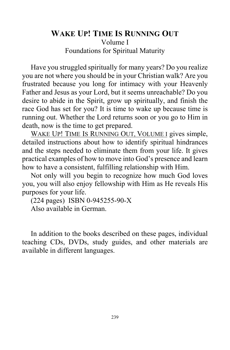# **WAKE UP! TIME IS RUNNING OUT** Volume I Foundations for Spiritual Maturity

Have you struggled spiritually for many years? Do you realize you are not where you should be in your Christian walk? Are you frustrated because you long for intimacy with your Heavenly Father and Jesus as your Lord, but it seems unreachable? Do you desire to abide in the Spirit, grow up spiritually, and finish the race God has set for you? It is time to wake up because time is running out. Whether the Lord returns soon or you go to Him in death, now is the time to get prepared.

WAKE UP! TIME IS RUNNING OUT, VOLUME I gives simple, detailed instructions about how to identify spiritual hindrances and the steps needed to eliminate them from your life. It gives practical examples of how to move into God's presence and learn how to have a consistent, fulfilling relationship with Him.

Not only will you begin to recognize how much God loves you, you will also enjoy fellowship with Him as He reveals His purposes for your life.

(224 pages) ISBN 0-945255-90-X Also available in German.

In addition to the books described on these pages, individual teaching CDs, DVDs, study guides, and other materials are available in different languages.